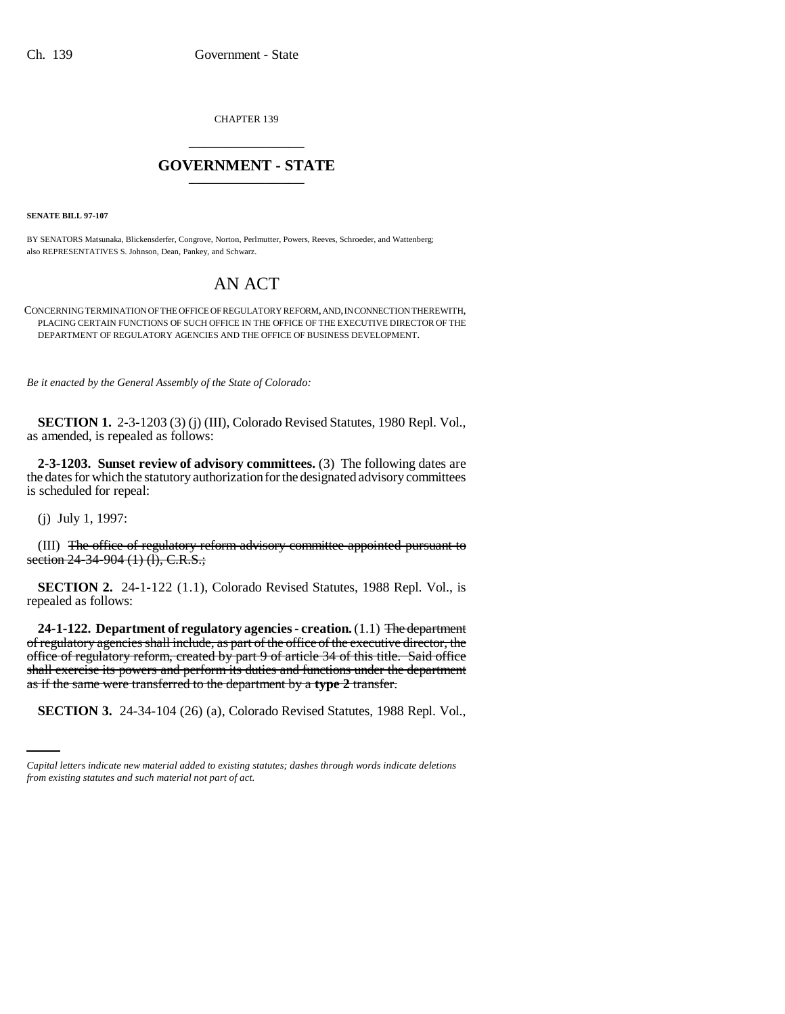CHAPTER 139 \_\_\_\_\_\_\_\_\_\_\_\_\_\_\_

## **GOVERNMENT - STATE** \_\_\_\_\_\_\_\_\_\_\_\_\_\_\_

**SENATE BILL 97-107**

BY SENATORS Matsunaka, Blickensderfer, Congrove, Norton, Perlmutter, Powers, Reeves, Schroeder, and Wattenberg; also REPRESENTATIVES S. Johnson, Dean, Pankey, and Schwarz.

## AN ACT

CONCERNING TERMINATION OF THE OFFICE OF REGULATORY REFORM, AND, IN CONNECTION THEREWITH, PLACING CERTAIN FUNCTIONS OF SUCH OFFICE IN THE OFFICE OF THE EXECUTIVE DIRECTOR OF THE DEPARTMENT OF REGULATORY AGENCIES AND THE OFFICE OF BUSINESS DEVELOPMENT.

*Be it enacted by the General Assembly of the State of Colorado:*

**SECTION 1.** 2-3-1203 (3) (j) (III), Colorado Revised Statutes, 1980 Repl. Vol., as amended, is repealed as follows:

**2-3-1203. Sunset review of advisory committees.** (3) The following dates are the dates for which the statutory authorization for the designated advisory committees is scheduled for repeal:

(j) July 1, 1997:

(III) The office of regulatory reform advisory committee appointed pursuant to section 24-34-904 (1) (1), C.R.S.;

**SECTION 2.** 24-1-122 (1.1), Colorado Revised Statutes, 1988 Repl. Vol., is repealed as follows:

as if the same were transferred to the department by a **type 2** transfer. **24-1-122. Department of regulatory agencies - creation.** (1.1) The department of regulatory agencies shall include, as part of the office of the executive director, the office of regulatory reform, created by part 9 of article 34 of this title. Said office shall exercise its powers and perform its duties and functions under the department

**SECTION 3.** 24-34-104 (26) (a), Colorado Revised Statutes, 1988 Repl. Vol.,

*Capital letters indicate new material added to existing statutes; dashes through words indicate deletions from existing statutes and such material not part of act.*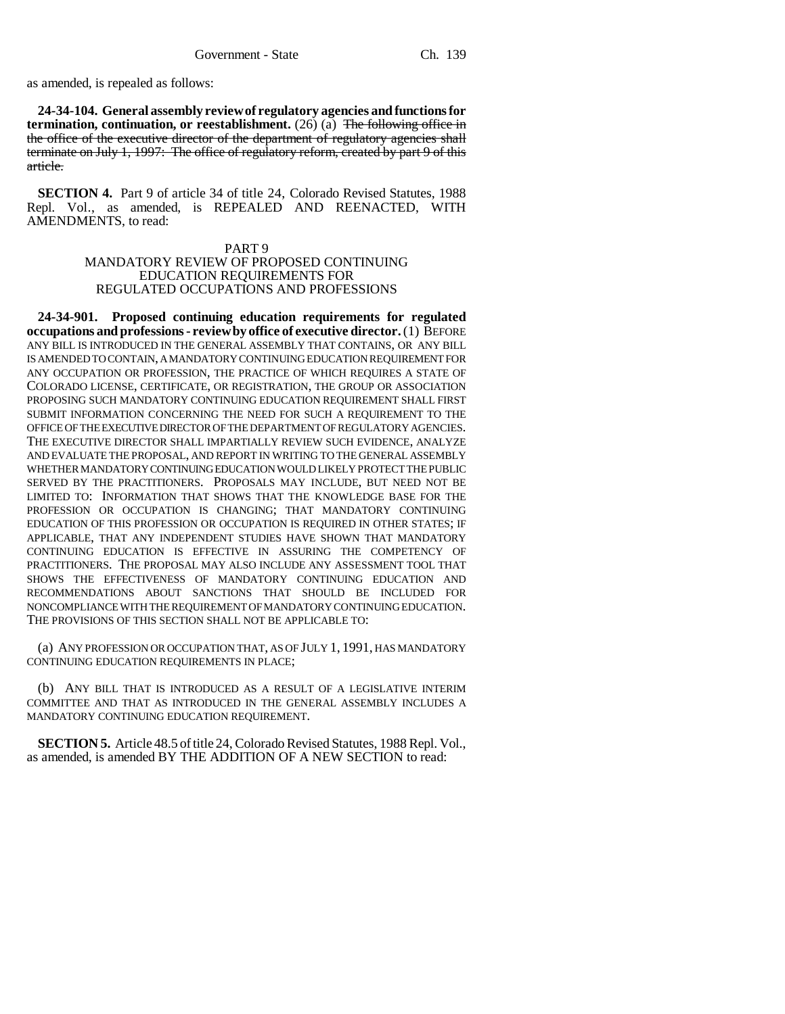as amended, is repealed as follows:

**24-34-104. General assembly review of regulatory agencies and functions for termination, continuation, or reestablishment.** (26) (a) The following office in the office of the executive director of the department of regulatory agencies shall terminate on July 1, 1997: The office of regulatory reform, created by part 9 of this article.

**SECTION 4.** Part 9 of article 34 of title 24, Colorado Revised Statutes, 1988 Repl. Vol., as amended, is REPEALED AND REENACTED, WITH AMENDMENTS, to read:

## PART 9 MANDATORY REVIEW OF PROPOSED CONTINUING EDUCATION REQUIREMENTS FOR REGULATED OCCUPATIONS AND PROFESSIONS

**24-34-901. Proposed continuing education requirements for regulated occupations and professions - review by office of executive director.** (1) BEFORE ANY BILL IS INTRODUCED IN THE GENERAL ASSEMBLY THAT CONTAINS, OR ANY BILL IS AMENDED TO CONTAIN, A MANDATORY CONTINUING EDUCATION REQUIREMENT FOR ANY OCCUPATION OR PROFESSION, THE PRACTICE OF WHICH REQUIRES A STATE OF COLORADO LICENSE, CERTIFICATE, OR REGISTRATION, THE GROUP OR ASSOCIATION PROPOSING SUCH MANDATORY CONTINUING EDUCATION REQUIREMENT SHALL FIRST SUBMIT INFORMATION CONCERNING THE NEED FOR SUCH A REQUIREMENT TO THE OFFICE OF THE EXECUTIVE DIRECTOR OF THE DEPARTMENT OF REGULATORY AGENCIES. THE EXECUTIVE DIRECTOR SHALL IMPARTIALLY REVIEW SUCH EVIDENCE, ANALYZE AND EVALUATE THE PROPOSAL, AND REPORT IN WRITING TO THE GENERAL ASSEMBLY WHETHER MANDATORY CONTINUING EDUCATION WOULD LIKELY PROTECT THE PUBLIC SERVED BY THE PRACTITIONERS. PROPOSALS MAY INCLUDE, BUT NEED NOT BE LIMITED TO: INFORMATION THAT SHOWS THAT THE KNOWLEDGE BASE FOR THE PROFESSION OR OCCUPATION IS CHANGING; THAT MANDATORY CONTINUING EDUCATION OF THIS PROFESSION OR OCCUPATION IS REQUIRED IN OTHER STATES; IF APPLICABLE, THAT ANY INDEPENDENT STUDIES HAVE SHOWN THAT MANDATORY CONTINUING EDUCATION IS EFFECTIVE IN ASSURING THE COMPETENCY OF PRACTITIONERS. THE PROPOSAL MAY ALSO INCLUDE ANY ASSESSMENT TOOL THAT SHOWS THE EFFECTIVENESS OF MANDATORY CONTINUING EDUCATION AND RECOMMENDATIONS ABOUT SANCTIONS THAT SHOULD BE INCLUDED FOR NONCOMPLIANCE WITH THE REQUIREMENT OF MANDATORY CONTINUING EDUCATION. THE PROVISIONS OF THIS SECTION SHALL NOT BE APPLICABLE TO:

(a) ANY PROFESSION OR OCCUPATION THAT, AS OF JULY 1, 1991, HAS MANDATORY CONTINUING EDUCATION REQUIREMENTS IN PLACE;

(b) ANY BILL THAT IS INTRODUCED AS A RESULT OF A LEGISLATIVE INTERIM COMMITTEE AND THAT AS INTRODUCED IN THE GENERAL ASSEMBLY INCLUDES A MANDATORY CONTINUING EDUCATION REQUIREMENT.

**SECTION 5.** Article 48.5 of title 24, Colorado Revised Statutes, 1988 Repl. Vol., as amended, is amended BY THE ADDITION OF A NEW SECTION to read: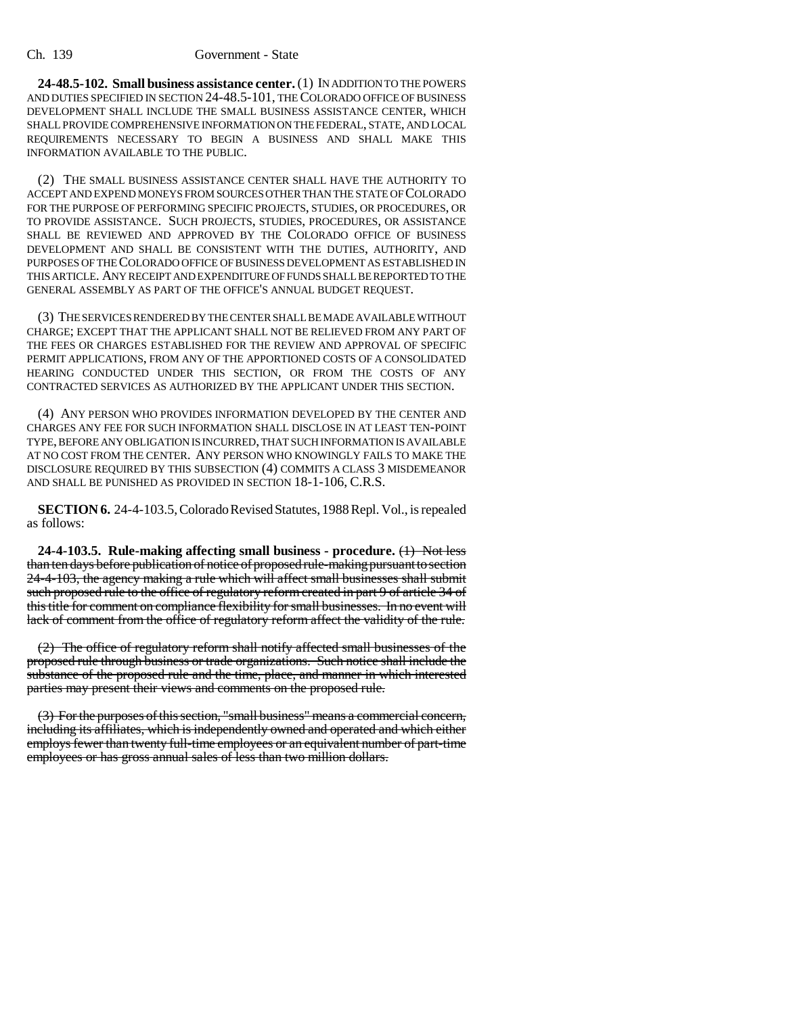**24-48.5-102. Small business assistance center.** (1) IN ADDITION TO THE POWERS AND DUTIES SPECIFIED IN SECTION 24-48.5-101, THE COLORADO OFFICE OF BUSINESS DEVELOPMENT SHALL INCLUDE THE SMALL BUSINESS ASSISTANCE CENTER, WHICH SHALL PROVIDE COMPREHENSIVE INFORMATION ON THE FEDERAL, STATE, AND LOCAL REQUIREMENTS NECESSARY TO BEGIN A BUSINESS AND SHALL MAKE THIS INFORMATION AVAILABLE TO THE PUBLIC.

(2) THE SMALL BUSINESS ASSISTANCE CENTER SHALL HAVE THE AUTHORITY TO ACCEPT AND EXPEND MONEYS FROM SOURCES OTHER THAN THE STATE OF COLORADO FOR THE PURPOSE OF PERFORMING SPECIFIC PROJECTS, STUDIES, OR PROCEDURES, OR TO PROVIDE ASSISTANCE. SUCH PROJECTS, STUDIES, PROCEDURES, OR ASSISTANCE SHALL BE REVIEWED AND APPROVED BY THE COLORADO OFFICE OF BUSINESS DEVELOPMENT AND SHALL BE CONSISTENT WITH THE DUTIES, AUTHORITY, AND PURPOSES OF THE COLORADO OFFICE OF BUSINESS DEVELOPMENT AS ESTABLISHED IN THIS ARTICLE. ANY RECEIPT AND EXPENDITURE OF FUNDS SHALL BE REPORTED TO THE GENERAL ASSEMBLY AS PART OF THE OFFICE'S ANNUAL BUDGET REQUEST.

(3) THE SERVICES RENDERED BY THE CENTER SHALL BE MADE AVAILABLE WITHOUT CHARGE; EXCEPT THAT THE APPLICANT SHALL NOT BE RELIEVED FROM ANY PART OF THE FEES OR CHARGES ESTABLISHED FOR THE REVIEW AND APPROVAL OF SPECIFIC PERMIT APPLICATIONS, FROM ANY OF THE APPORTIONED COSTS OF A CONSOLIDATED HEARING CONDUCTED UNDER THIS SECTION, OR FROM THE COSTS OF ANY CONTRACTED SERVICES AS AUTHORIZED BY THE APPLICANT UNDER THIS SECTION.

(4) ANY PERSON WHO PROVIDES INFORMATION DEVELOPED BY THE CENTER AND CHARGES ANY FEE FOR SUCH INFORMATION SHALL DISCLOSE IN AT LEAST TEN-POINT TYPE, BEFORE ANY OBLIGATION IS INCURRED, THAT SUCH INFORMATION IS AVAILABLE AT NO COST FROM THE CENTER. ANY PERSON WHO KNOWINGLY FAILS TO MAKE THE DISCLOSURE REQUIRED BY THIS SUBSECTION (4) COMMITS A CLASS 3 MISDEMEANOR AND SHALL BE PUNISHED AS PROVIDED IN SECTION 18-1-106, C.R.S.

**SECTION 6.** 24-4-103.5, Colorado Revised Statutes, 1988 Repl. Vol., is repealed as follows:

**24-4-103.5. Rule-making affecting small business - procedure.** (1) Not less than ten days before publication of notice of proposed rule-making pursuant to section 24-4-103, the agency making a rule which will affect small businesses shall submit such proposed rule to the office of regulatory reform created in part 9 of article 34 of this title for comment on compliance flexibility for small businesses. In no event will lack of comment from the office of regulatory reform affect the validity of the rule.

(2) The office of regulatory reform shall notify affected small businesses of the proposed rule through business or trade organizations. Such notice shall include the substance of the proposed rule and the time, place, and manner in which interested parties may present their views and comments on the proposed rule.

(3) For the purposes of this section, "small business" means a commercial concern, including its affiliates, which is independently owned and operated and which either employs fewer than twenty full-time employees or an equivalent number of part-time employees or has gross annual sales of less than two million dollars.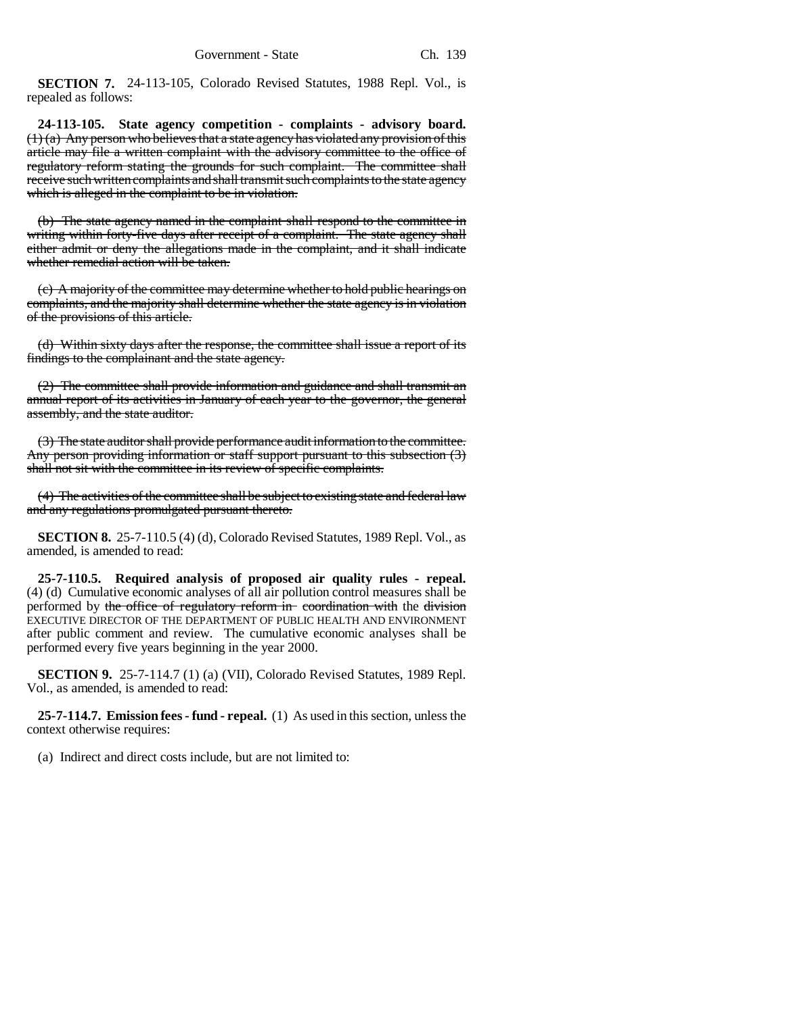**SECTION 7.** 24-113-105, Colorado Revised Statutes, 1988 Repl. Vol., is repealed as follows:

**24-113-105. State agency competition - complaints - advisory board.**  $(1)$  (a) Any person who believes that a state agency has violated any provision of this article may file a written complaint with the advisory committee to the office of regulatory reform stating the grounds for such complaint. The committee shall receive such written complaints and shall transmit such complaints to the state agency which is alleged in the complaint to be in violation.

(b) The state agency named in the complaint shall respond to the committee in writing within forty-five days after receipt of a complaint. The state agency shall either admit or deny the allegations made in the complaint, and it shall indicate whether remedial action will be taken.

(c) A majority of the committee may determine whether to hold public hearings on complaints, and the majority shall determine whether the state agency is in violation of the provisions of this article.

(d) Within sixty days after the response, the committee shall issue a report of its findings to the complainant and the state agency.

(2) The committee shall provide information and guidance and shall transmit an annual report of its activities in January of each year to the governor, the general assembly, and the state auditor.

(3) The state auditor shall provide performance audit information to the committee. Any person providing information or staff support pursuant to this subsection (3) shall not sit with the committee in its review of specific complaints.

(4) The activities of the committee shall be subject to existing state and federal law and any regulations promulgated pursuant thereto.

**SECTION 8.** 25-7-110.5 (4) (d), Colorado Revised Statutes, 1989 Repl. Vol., as amended, is amended to read:

**25-7-110.5. Required analysis of proposed air quality rules - repeal.** (4) (d) Cumulative economic analyses of all air pollution control measures shall be performed by the office of regulatory reform in coordination with the division EXECUTIVE DIRECTOR OF THE DEPARTMENT OF PUBLIC HEALTH AND ENVIRONMENT after public comment and review. The cumulative economic analyses shall be performed every five years beginning in the year 2000.

**SECTION 9.** 25-7-114.7 (1) (a) (VII), Colorado Revised Statutes, 1989 Repl. Vol., as amended, is amended to read:

**25-7-114.7. Emission fees - fund - repeal.** (1) As used in this section, unless the context otherwise requires:

(a) Indirect and direct costs include, but are not limited to: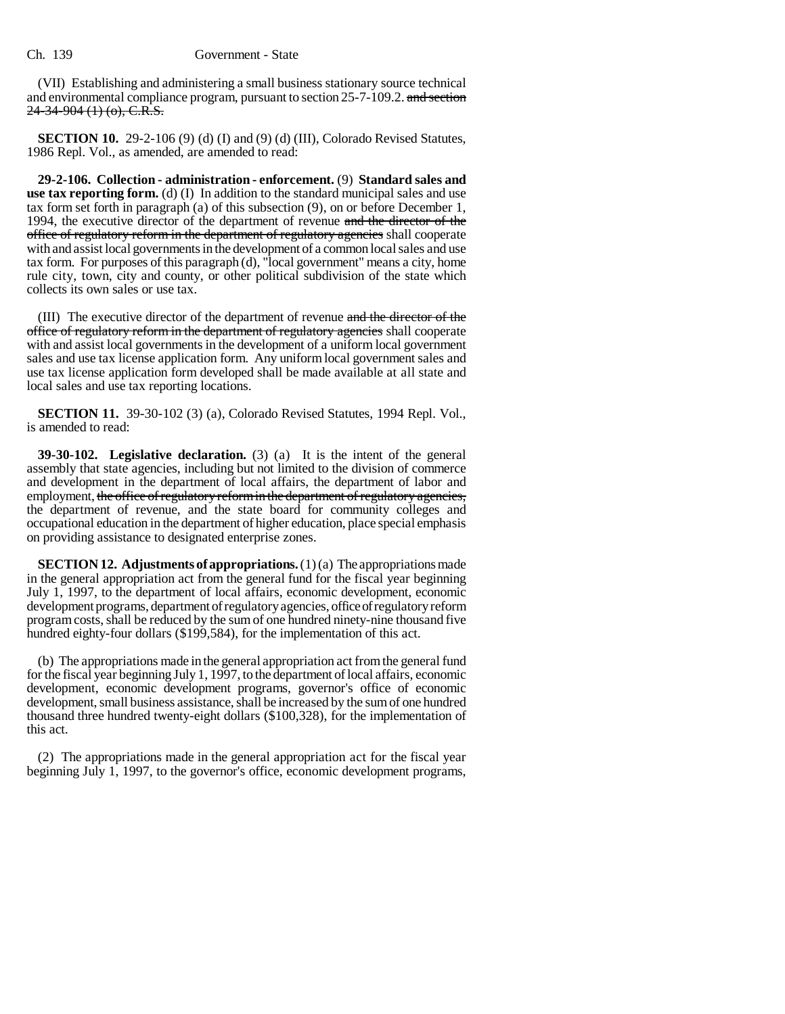(VII) Establishing and administering a small business stationary source technical and environmental compliance program, pursuant to section 25-7-109.2. and section  $24 - 34 - 904$  (1) (o), C.R.S.

**SECTION 10.** 29-2-106 (9) (d) (I) and (9) (d) (III), Colorado Revised Statutes, 1986 Repl. Vol., as amended, are amended to read:

**29-2-106. Collection - administration - enforcement.** (9) **Standard sales and use tax reporting form.** (d) (I) In addition to the standard municipal sales and use tax form set forth in paragraph (a) of this subsection (9), on or before December 1, 1994, the executive director of the department of revenue and the director of the office of regulatory reform in the department of regulatory agencies shall cooperate with and assist local governments in the development of a common local sales and use tax form. For purposes of this paragraph (d), "local government" means a city, home rule city, town, city and county, or other political subdivision of the state which collects its own sales or use tax.

(III) The executive director of the department of revenue and the director of the office of regulatory reform in the department of regulatory agencies shall cooperate with and assist local governments in the development of a uniform local government sales and use tax license application form. Any uniform local government sales and use tax license application form developed shall be made available at all state and local sales and use tax reporting locations.

**SECTION 11.** 39-30-102 (3) (a), Colorado Revised Statutes, 1994 Repl. Vol., is amended to read:

**39-30-102. Legislative declaration.** (3) (a) It is the intent of the general assembly that state agencies, including but not limited to the division of commerce and development in the department of local affairs, the department of labor and employment, the office of regulatory reform in the department of regulatory agencies, the department of revenue, and the state board for community colleges and occupational education in the department of higher education, place special emphasis on providing assistance to designated enterprise zones.

**SECTION 12. Adjustments of appropriations.** (1)(a) The appropriations made in the general appropriation act from the general fund for the fiscal year beginning July 1, 1997, to the department of local affairs, economic development, economic development programs, department of regulatory agencies, office of regulatory reform program costs, shall be reduced by the sum of one hundred ninety-nine thousand five hundred eighty-four dollars (\$199,584), for the implementation of this act.

(b) The appropriations made in the general appropriation act from the general fund for the fiscal year beginning July 1, 1997, to the department of local affairs, economic development, economic development programs, governor's office of economic development, small business assistance, shall be increased by the sum of one hundred thousand three hundred twenty-eight dollars (\$100,328), for the implementation of this act.

(2) The appropriations made in the general appropriation act for the fiscal year beginning July 1, 1997, to the governor's office, economic development programs,